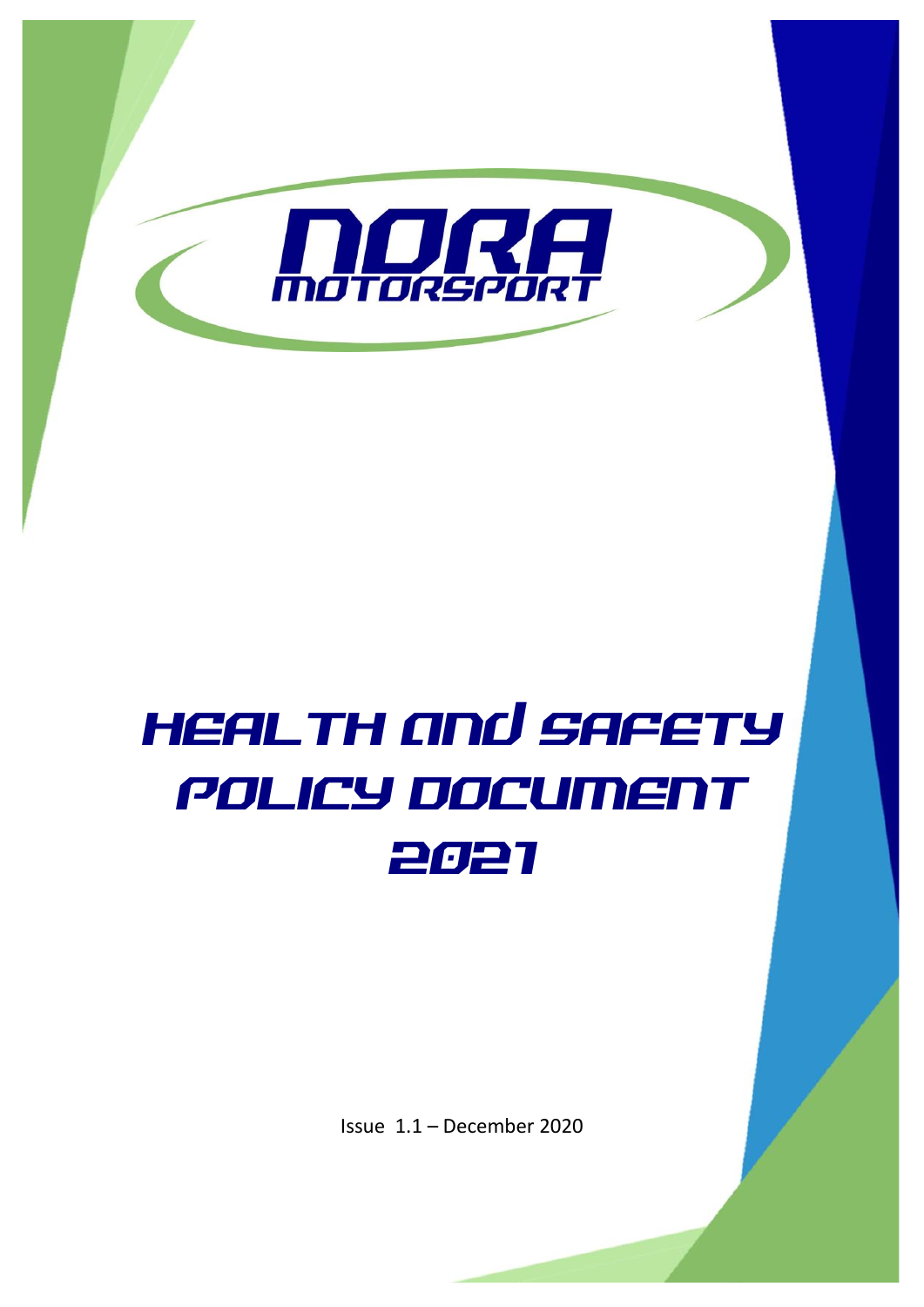

# HEALTH and SAFETY POLICY DOCUMENT 2021

Issue 1.1 – December 2020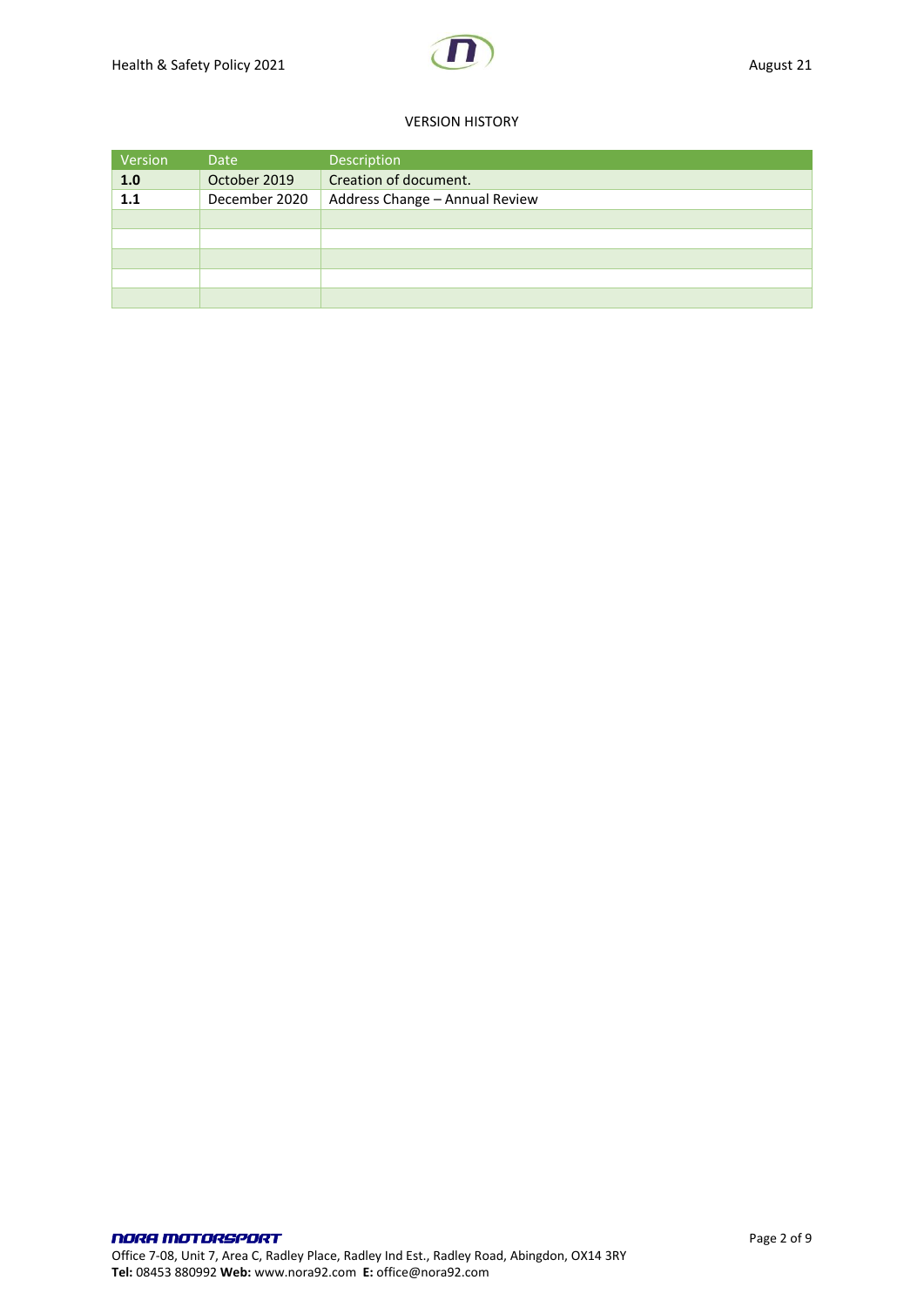#### VERSION HISTORY

| Version | Date          | Description                    |
|---------|---------------|--------------------------------|
| 1.0     | October 2019  | Creation of document.          |
| 1.1     | December 2020 | Address Change - Annual Review |
|         |               |                                |
|         |               |                                |
|         |               |                                |
|         |               |                                |
|         |               |                                |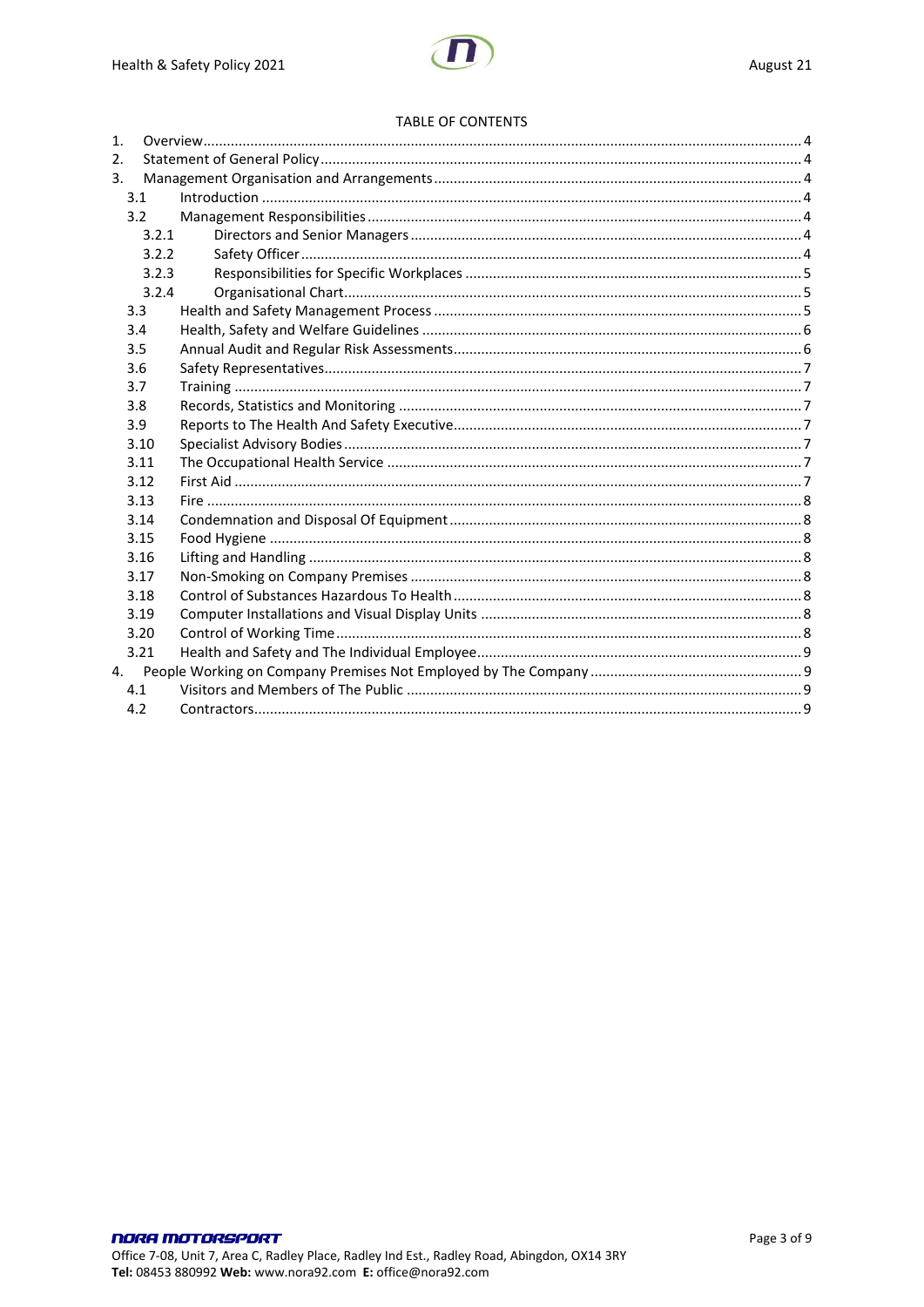#### **TABLE OF CONTENTS**

| $\mathbf{1}$ . |       |  |
|----------------|-------|--|
| 2.             |       |  |
| 3.             |       |  |
| 3.1            |       |  |
| 3.2            |       |  |
|                | 3.2.1 |  |
|                | 3.2.2 |  |
|                | 3.2.3 |  |
|                | 3.2.4 |  |
| 3.3            |       |  |
| 3.4            |       |  |
| 3.5            |       |  |
| 3.6            |       |  |
| 3.7            |       |  |
| 3.8            |       |  |
| 3.9            |       |  |
|                | 3.10  |  |
|                | 3.11  |  |
|                | 3.12  |  |
|                | 3.13  |  |
|                | 3.14  |  |
|                | 3.15  |  |
|                | 3.16  |  |
|                | 3.17  |  |
|                | 3.18  |  |
|                | 3.19  |  |
|                | 3.20  |  |
|                | 3.21  |  |
|                |       |  |
| 4.1            |       |  |
| 4.2            |       |  |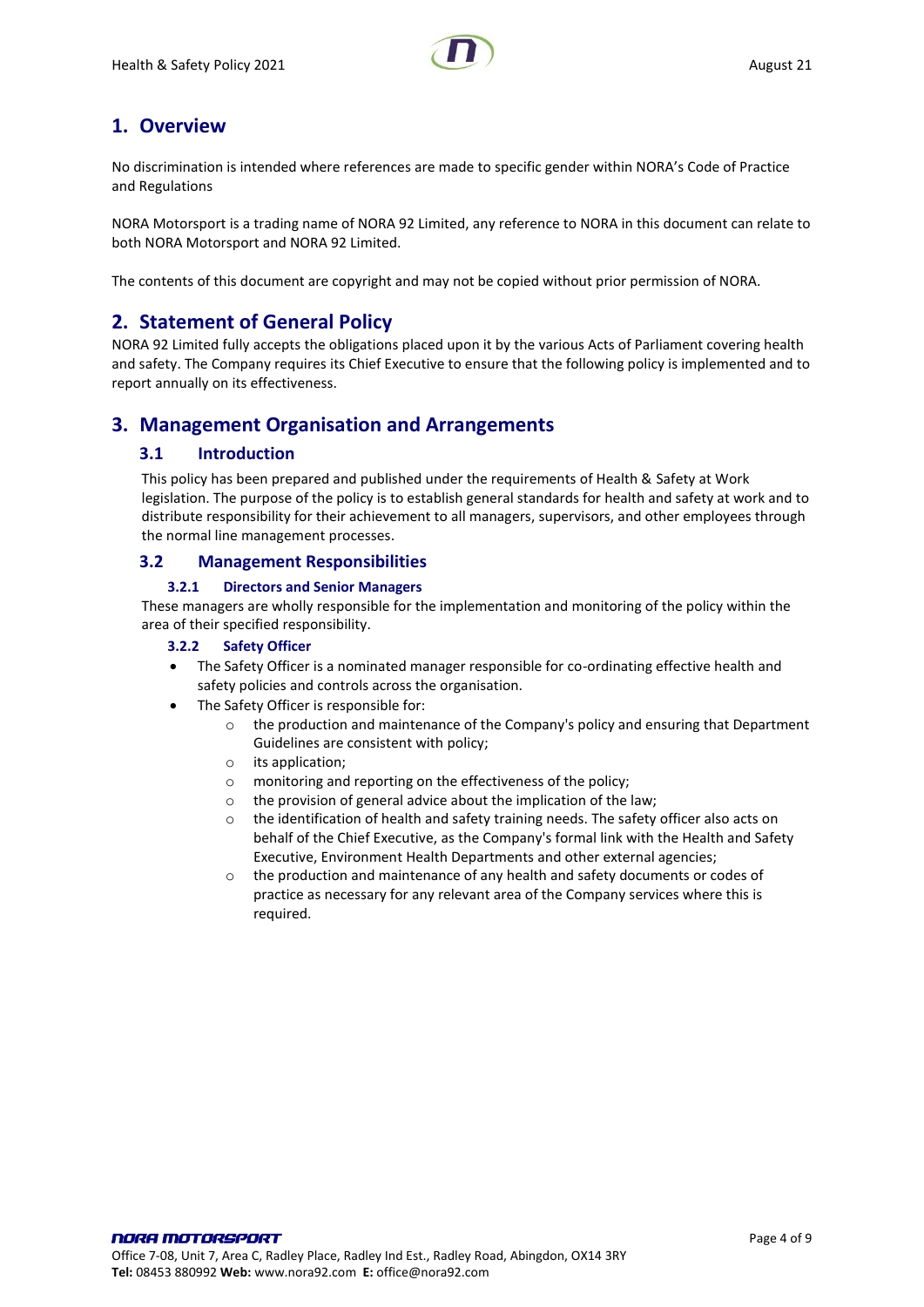

# <span id="page-3-0"></span>**1. Overview**

No discrimination is intended where references are made to specific gender within NORA's Code of Practice and Regulations

NORA Motorsport is a trading name of NORA 92 Limited, any reference to NORA in this document can relate to both NORA Motorsport and NORA 92 Limited.

<span id="page-3-1"></span>The contents of this document are copyright and may not be copied without prior permission of NORA.

# **2. Statement of General Policy**

NORA 92 Limited fully accepts the obligations placed upon it by the various Acts of Parliament covering health and safety. The Company requires its Chief Executive to ensure that the following policy is implemented and to report annually on its effectiveness.

# <span id="page-3-3"></span><span id="page-3-2"></span>**3. Management Organisation and Arrangements**

#### **3.1 Introduction**

This policy has been prepared and published under the requirements of Health & Safety at Work legislation. The purpose of the policy is to establish general standards for health and safety at work and to distribute responsibility for their achievement to all managers, supervisors, and other employees through the normal line management processes.

#### <span id="page-3-4"></span>**3.2 Management Responsibilities**

#### **3.2.1 Directors and Senior Managers**

<span id="page-3-6"></span><span id="page-3-5"></span>These managers are wholly responsible for the implementation and monitoring of the policy within the area of their specified responsibility.

#### **3.2.2 Safety Officer**

- The Safety Officer is a nominated manager responsible for co-ordinating effective health and safety policies and controls across the organisation.
- The Safety Officer is responsible for:
	- $\circ$  the production and maintenance of the Company's policy and ensuring that Department Guidelines are consistent with policy;
	- o its application;
	- o monitoring and reporting on the effectiveness of the policy;
	- o the provision of general advice about the implication of the law;
	- o the identification of health and safety training needs. The safety officer also acts on behalf of the Chief Executive, as the Company's formal link with the Health and Safety Executive, Environment Health Departments and other external agencies;
	- o the production and maintenance of any health and safety documents or codes of practice as necessary for any relevant area of the Company services where this is required.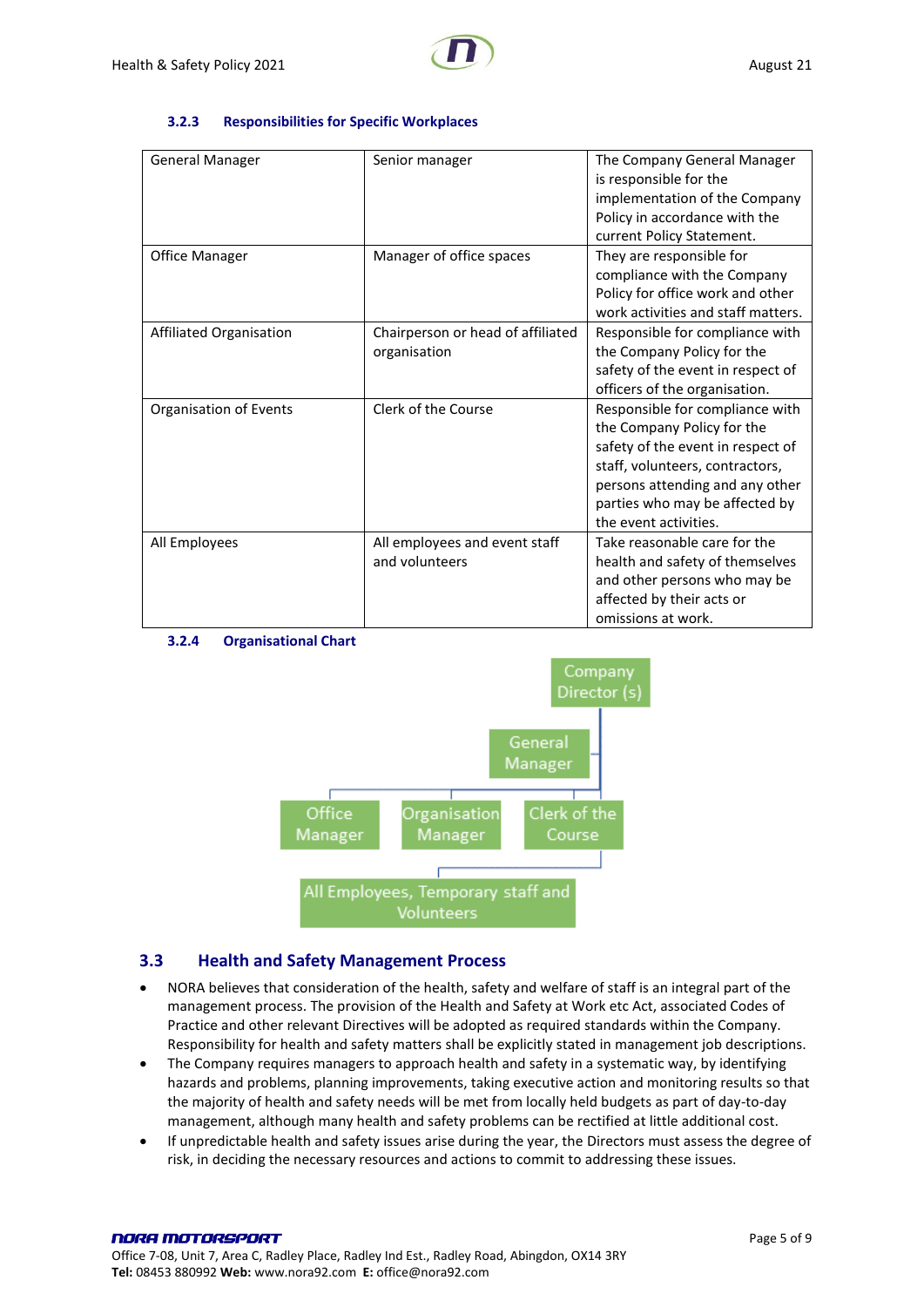#### **3.2.3 Responsibilities for Specific Workplaces**

<span id="page-4-0"></span>

| <b>General Manager</b>  | Senior manager                                    | The Company General Manager<br>is responsible for the<br>implementation of the Company<br>Policy in accordance with the<br>current Policy Statement.                                                                                |
|-------------------------|---------------------------------------------------|-------------------------------------------------------------------------------------------------------------------------------------------------------------------------------------------------------------------------------------|
| Office Manager          | Manager of office spaces                          | They are responsible for<br>compliance with the Company<br>Policy for office work and other<br>work activities and staff matters.                                                                                                   |
| Affiliated Organisation | Chairperson or head of affiliated<br>organisation | Responsible for compliance with<br>the Company Policy for the<br>safety of the event in respect of<br>officers of the organisation.                                                                                                 |
| Organisation of Events  | Clerk of the Course                               | Responsible for compliance with<br>the Company Policy for the<br>safety of the event in respect of<br>staff, volunteers, contractors,<br>persons attending and any other<br>parties who may be affected by<br>the event activities. |
| All Employees           | All employees and event staff<br>and volunteers   | Take reasonable care for the<br>health and safety of themselves<br>and other persons who may be<br>affected by their acts or<br>omissions at work.                                                                                  |

<span id="page-4-1"></span>



## <span id="page-4-2"></span>**3.3 Health and Safety Management Process**

- NORA believes that consideration of the health, safety and welfare of staff is an integral part of the management process. The provision of the Health and Safety at Work etc Act, associated Codes of Practice and other relevant Directives will be adopted as required standards within the Company. Responsibility for health and safety matters shall be explicitly stated in management job descriptions.
- The Company requires managers to approach health and safety in a systematic way, by identifying hazards and problems, planning improvements, taking executive action and monitoring results so that the majority of health and safety needs will be met from locally held budgets as part of day-to-day management, although many health and safety problems can be rectified at little additional cost.
- If unpredictable health and safety issues arise during the year, the Directors must assess the degree of risk, in deciding the necessary resources and actions to commit to addressing these issues.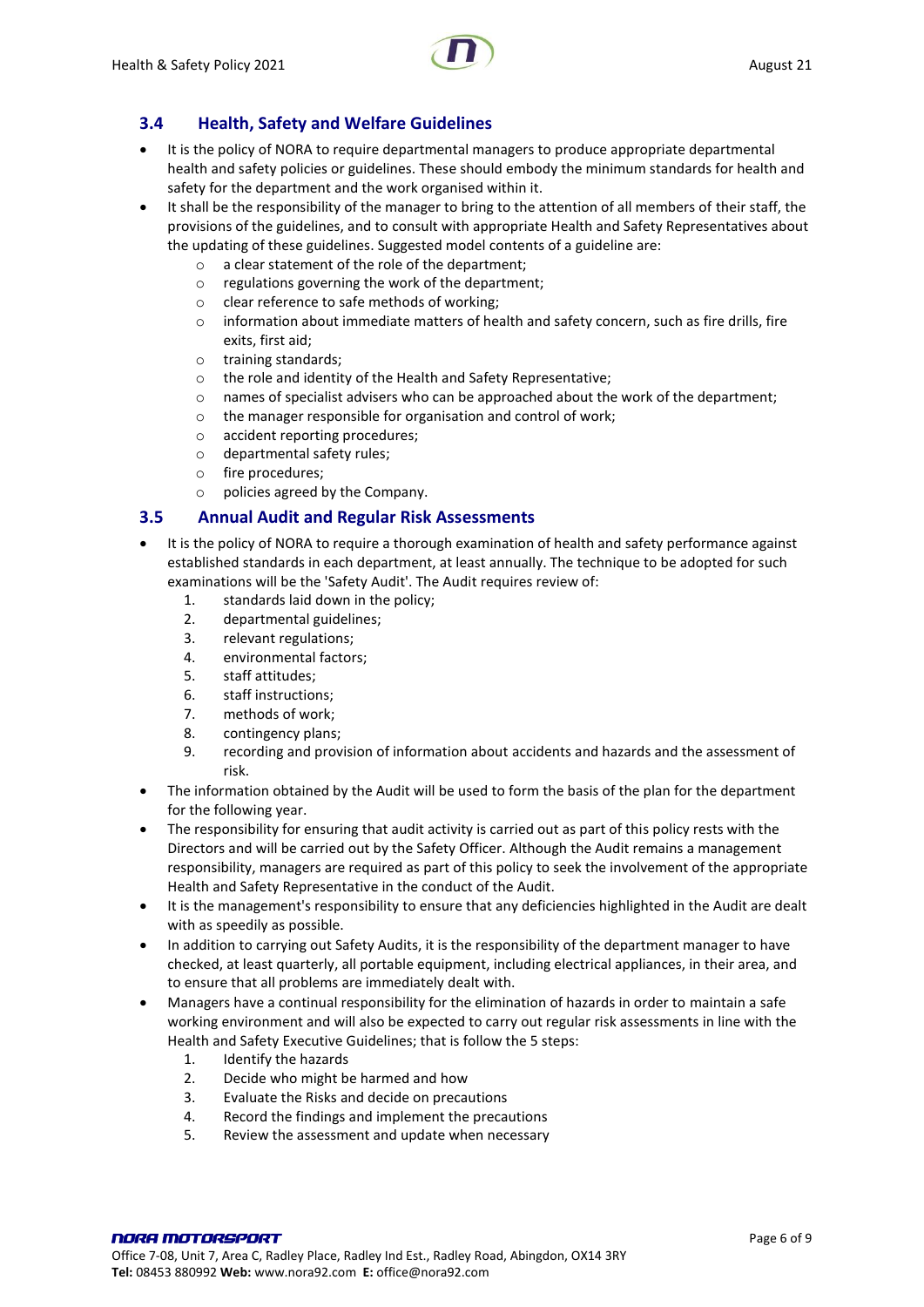

# <span id="page-5-0"></span>**3.4 Health, Safety and Welfare Guidelines**

- It is the policy of NORA to require departmental managers to produce appropriate departmental health and safety policies or guidelines. These should embody the minimum standards for health and safety for the department and the work organised within it.
- It shall be the responsibility of the manager to bring to the attention of all members of their staff, the provisions of the guidelines, and to consult with appropriate Health and Safety Representatives about the updating of these guidelines. Suggested model contents of a guideline are:
	- o a clear statement of the role of the department;
	- o regulations governing the work of the department;
	- o clear reference to safe methods of working;
	- $\circ$  information about immediate matters of health and safety concern, such as fire drills, fire exits, first aid;
	- o training standards;
	- o the role and identity of the Health and Safety Representative;
	- $\circ$  names of specialist advisers who can be approached about the work of the department;
	- o the manager responsible for organisation and control of work;
	- o accident reporting procedures;
	- o departmental safety rules;
	- o fire procedures;
	- o policies agreed by the Company.

## <span id="page-5-1"></span>**3.5 Annual Audit and Regular Risk Assessments**

- It is the policy of NORA to require a thorough examination of health and safety performance against established standards in each department, at least annually. The technique to be adopted for such examinations will be the 'Safety Audit'. The Audit requires review of:
	- 1. standards laid down in the policy;
	- 2. departmental guidelines;
	- 3. relevant regulations;
	- 4. environmental factors;
	- 5. staff attitudes;
	- 6. staff instructions;
	- 7. methods of work;
	- 8. contingency plans;
	- 9. recording and provision of information about accidents and hazards and the assessment of risk.
- The information obtained by the Audit will be used to form the basis of the plan for the department for the following year.
- The responsibility for ensuring that audit activity is carried out as part of this policy rests with the Directors and will be carried out by the Safety Officer. Although the Audit remains a management responsibility, managers are required as part of this policy to seek the involvement of the appropriate Health and Safety Representative in the conduct of the Audit.
- It is the management's responsibility to ensure that any deficiencies highlighted in the Audit are dealt with as speedily as possible.
- In addition to carrying out Safety Audits, it is the responsibility of the department manager to have checked, at least quarterly, all portable equipment, including electrical appliances, in their area, and to ensure that all problems are immediately dealt with.
- Managers have a continual responsibility for the elimination of hazards in order to maintain a safe working environment and will also be expected to carry out regular risk assessments in line with the Health and Safety Executive Guidelines; that is follow the 5 steps:
	- 1. Identify the hazards
	- 2. Decide who might be harmed and how
	- 3. Evaluate the Risks and decide on precautions
	- 4. Record the findings and implement the precautions
	- 5. Review the assessment and update when necessary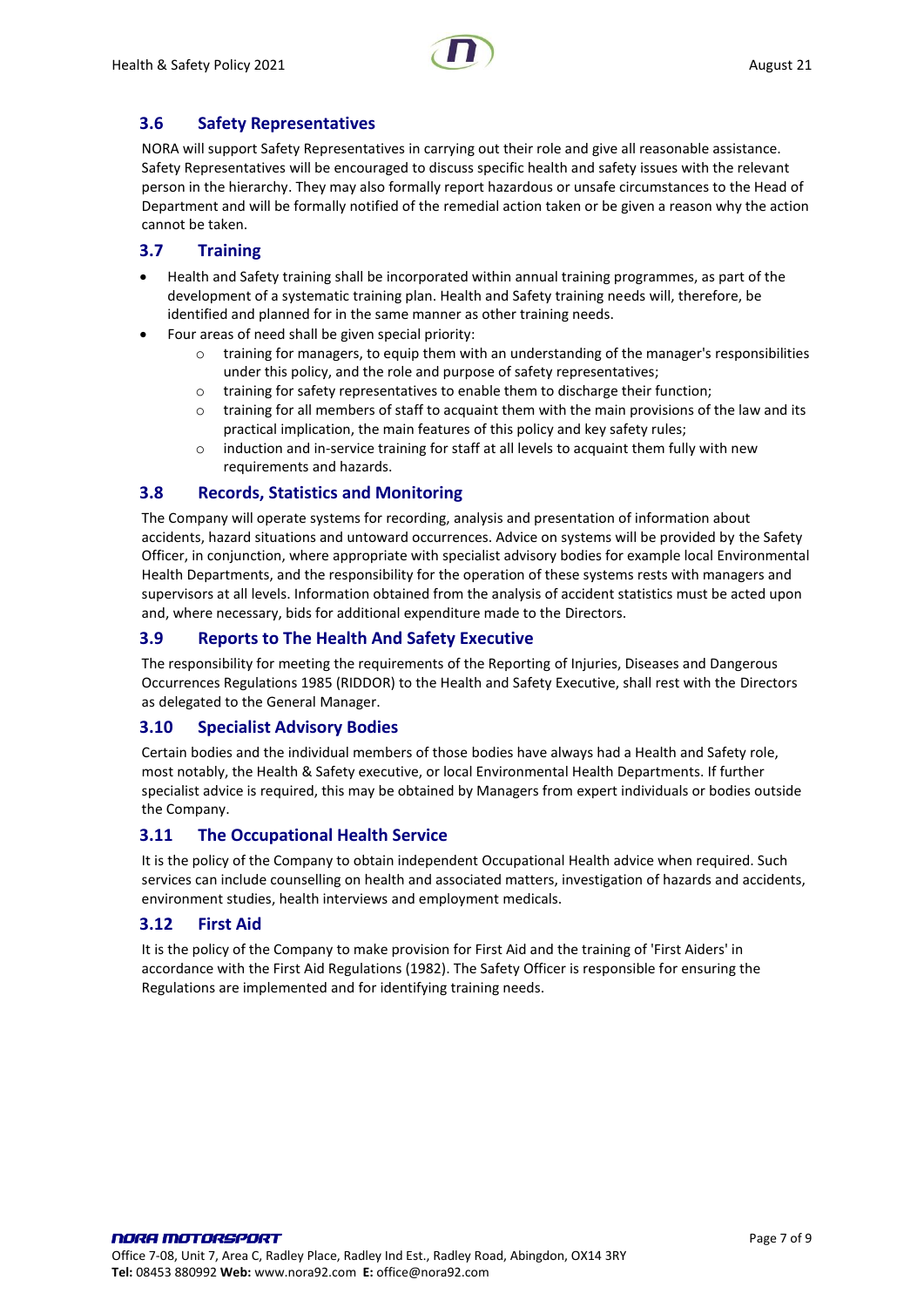

# <span id="page-6-0"></span>**3.6 Safety Representatives**

NORA will support Safety Representatives in carrying out their role and give all reasonable assistance. Safety Representatives will be encouraged to discuss specific health and safety issues with the relevant person in the hierarchy. They may also formally report hazardous or unsafe circumstances to the Head of Department and will be formally notified of the remedial action taken or be given a reason why the action cannot be taken.

# <span id="page-6-1"></span>**3.7 Training**

- Health and Safety training shall be incorporated within annual training programmes, as part of the development of a systematic training plan. Health and Safety training needs will, therefore, be identified and planned for in the same manner as other training needs.
- Four areas of need shall be given special priority:
	- $\circ$  training for managers, to equip them with an understanding of the manager's responsibilities under this policy, and the role and purpose of safety representatives;
	- o training for safety representatives to enable them to discharge their function;
	- $\circ$  training for all members of staff to acquaint them with the main provisions of the law and its practical implication, the main features of this policy and key safety rules;
	- $\circ$  induction and in-service training for staff at all levels to acquaint them fully with new requirements and hazards.

#### <span id="page-6-2"></span>**3.8 Records, Statistics and Monitoring**

The Company will operate systems for recording, analysis and presentation of information about accidents, hazard situations and untoward occurrences. Advice on systems will be provided by the Safety Officer, in conjunction, where appropriate with specialist advisory bodies for example local Environmental Health Departments, and the responsibility for the operation of these systems rests with managers and supervisors at all levels. Information obtained from the analysis of accident statistics must be acted upon and, where necessary, bids for additional expenditure made to the Directors.

# <span id="page-6-3"></span>**3.9 Reports to The Health And Safety Executive**

The responsibility for meeting the requirements of the Reporting of Injuries, Diseases and Dangerous Occurrences Regulations 1985 (RIDDOR) to the Health and Safety Executive, shall rest with the Directors as delegated to the General Manager.

## <span id="page-6-4"></span>**3.10 Specialist Advisory Bodies**

Certain bodies and the individual members of those bodies have always had a Health and Safety role, most notably, the Health & Safety executive, or local Environmental Health Departments. If further specialist advice is required, this may be obtained by Managers from expert individuals or bodies outside the Company.

## <span id="page-6-5"></span>**3.11 The Occupational Health Service**

It is the policy of the Company to obtain independent Occupational Health advice when required. Such services can include counselling on health and associated matters, investigation of hazards and accidents, environment studies, health interviews and employment medicals.

## <span id="page-6-6"></span>**3.12 First Aid**

It is the policy of the Company to make provision for First Aid and the training of 'First Aiders' in accordance with the First Aid Regulations (1982). The Safety Officer is responsible for ensuring the Regulations are implemented and for identifying training needs.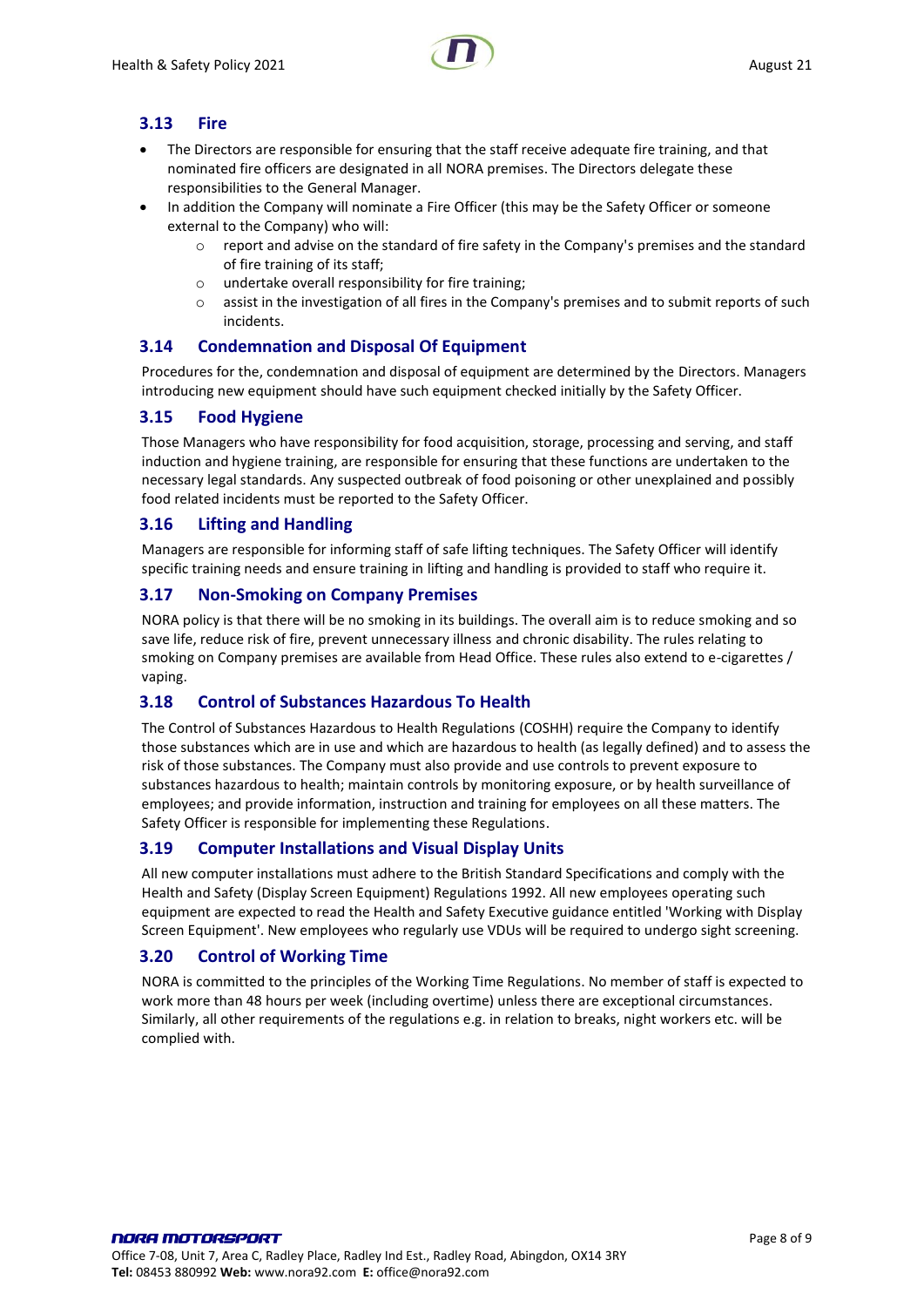# <span id="page-7-0"></span>**3.13 Fire**

- The Directors are responsible for ensuring that the staff receive adequate fire training, and that nominated fire officers are designated in all NORA premises. The Directors delegate these responsibilities to the General Manager.
- In addition the Company will nominate a Fire Officer (this may be the Safety Officer or someone external to the Company) who will:
	- o report and advise on the standard of fire safety in the Company's premises and the standard of fire training of its staff;
	- $\circ$  undertake overall responsibility for fire training:
	- o assist in the investigation of all fires in the Company's premises and to submit reports of such incidents.

## <span id="page-7-1"></span>**3.14 Condemnation and Disposal Of Equipment**

Procedures for the, condemnation and disposal of equipment are determined by the Directors. Managers introducing new equipment should have such equipment checked initially by the Safety Officer.

## <span id="page-7-2"></span>**3.15 Food Hygiene**

Those Managers who have responsibility for food acquisition, storage, processing and serving, and staff induction and hygiene training, are responsible for ensuring that these functions are undertaken to the necessary legal standards. Any suspected outbreak of food poisoning or other unexplained and possibly food related incidents must be reported to the Safety Officer.

#### <span id="page-7-3"></span>**3.16 Lifting and Handling**

Managers are responsible for informing staff of safe lifting techniques. The Safety Officer will identify specific training needs and ensure training in lifting and handling is provided to staff who require it.

#### <span id="page-7-4"></span>**3.17 Non-Smoking on Company Premises**

NORA policy is that there will be no smoking in its buildings. The overall aim is to reduce smoking and so save life, reduce risk of fire, prevent unnecessary illness and chronic disability. The rules relating to smoking on Company premises are available from Head Office. These rules also extend to e-cigarettes / vaping.

## <span id="page-7-5"></span>**3.18 Control of Substances Hazardous To Health**

The Control of Substances Hazardous to Health Regulations (COSHH) require the Company to identify those substances which are in use and which are hazardous to health (as legally defined) and to assess the risk of those substances. The Company must also provide and use controls to prevent exposure to substances hazardous to health; maintain controls by monitoring exposure, or by health surveillance of employees; and provide information, instruction and training for employees on all these matters. The Safety Officer is responsible for implementing these Regulations.

## <span id="page-7-6"></span>**3.19 Computer Installations and Visual Display Units**

All new computer installations must adhere to the British Standard Specifications and comply with the Health and Safety (Display Screen Equipment) Regulations 1992. All new employees operating such equipment are expected to read the Health and Safety Executive guidance entitled 'Working with Display Screen Equipment'. New employees who regularly use VDUs will be required to undergo sight screening.

## <span id="page-7-7"></span>**3.20 Control of Working Time**

NORA is committed to the principles of the Working Time Regulations. No member of staff is expected to work more than 48 hours per week (including overtime) unless there are exceptional circumstances. Similarly, all other requirements of the regulations e.g. in relation to breaks, night workers etc. will be complied with.